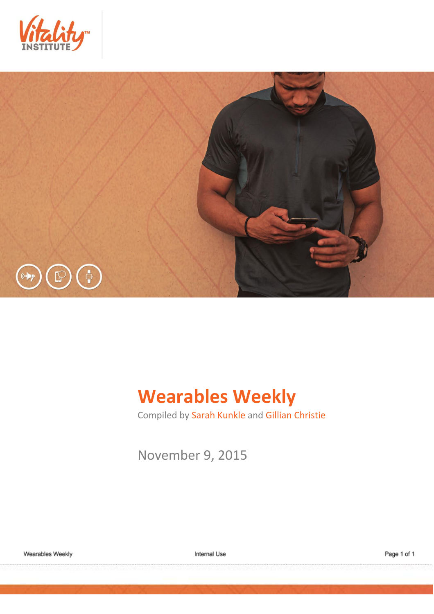



# **Wearables Weekly**

Compiled by Sarah Kunkle and Gillian Christie

November 9, 2015

Internal Use

Page 1 of 1